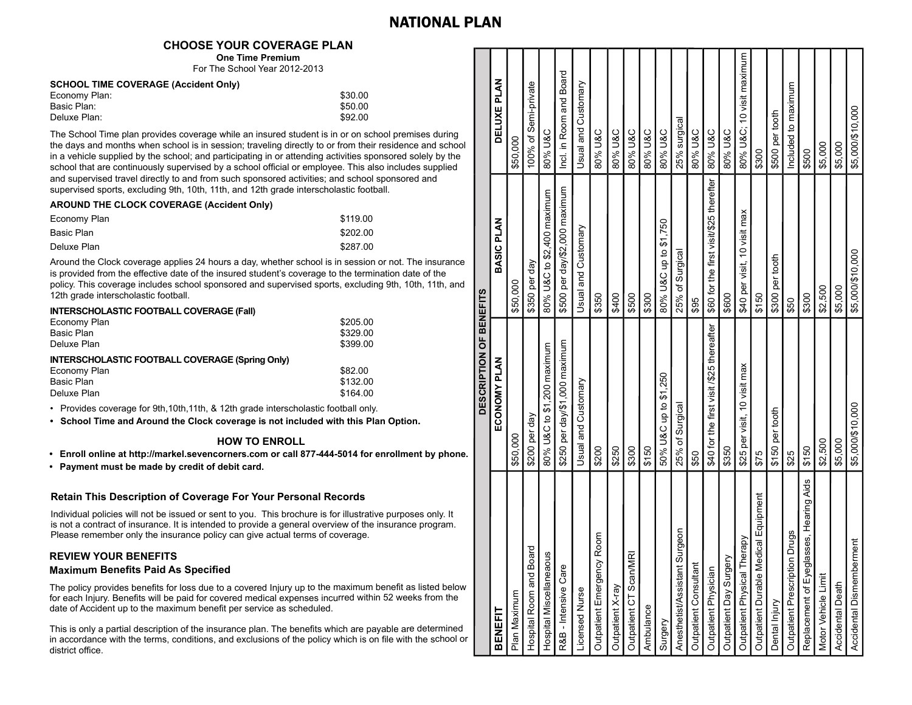## NATIONAL PLAN

### **CHOOSE YOUR COVERAGE PLAN**

**One Time Premium** For The School Year 2012-2013

#### **SCHOOL TIME COVERAGE (Accident Only)**

| Economy Plan: | \$30.00 |
|---------------|---------|
| Basic Plan:   | \$50.00 |
| Deluxe Plan:  | \$92.00 |

The School Time plan provides coverage while an insured student is in or on school premises during the days and months when school is in session; traveling directly to or from their residence and school in a vehicle supplied by the school; and participating in or attending activities sponsored solely by the school that are continuously supervised by a school official or employee. This also includes supplied and supervised travel directly to and from such sponsored activities; and school sponsored and supervised sports, excluding 9th, 10th, 11th, and 12th grade interscholastic football.

#### **AROUND THE CLOCK COVERAGE (Accident Only)**

| Economy Plan | \$119.00 |
|--------------|----------|
| Basic Plan   | \$202.00 |
| Deluxe Plan  | \$287.00 |

Around the Clock coverage applies 24 hours a day, whether school is in session or not. The insurance is provided from the effective date of the insured student's coverage to the termination date of the policy. This coverage includes school sponsored and supervised sports, excluding 9th, 10th, 11th, and 12th grade interscholastic football.

# **INTERSCHOLASTIC FOOTBALL COVERAGE (Fall)**

| Economy Plan                                           | \$205.00 |
|--------------------------------------------------------|----------|
| Basic Plan                                             | \$329.00 |
| Deluxe Plan                                            | \$399.00 |
| <b>INTERSCHOLASTIC FOOTBALL COVERAGE (Spring Only)</b> |          |
| Economy Plan                                           | \$82.00  |
| Basic Plan                                             | \$132.00 |
| Deluxe Plan                                            | \$164.00 |
|                                                        |          |

• Provides coverage for 9th,10th,11th, & 12th grade interscholastic football only.

**School Time and Around the Clock coverage is not included with this Plan Option. •**

#### **HOW TO ENROLL**

**Enroll online at http://markel.sevencorners.com or call 877-444-5014 for enrollment by phone. •**

**Payment must be made by credit of debit card. •**

#### **Retain This Description of Coverage For Your Personal Records**

Individual policies will not be issued or sent to you. This brochure is for illustrative purposes only. It is not a contract of insurance. It is intended to provide a general overview of the insurance program. Please remember only the insurance policy can give actual terms of coverage.

#### **REVIEW YOUR BENEFITS Maximum Benefits Paid As Specified**

The policy provides benefits for loss due to a covered Injury up to the maximum benefit as listed below for each Injury. Benefits will be paid for covered medical expenses incurred within 52 weeks from the date of Accident up to the maximum benefit per service as scheduled.

This is only a partial description of the insurance plan. The benefits which are payable are determined in accordance with the terms, conditions, and exclusions of the policy which is on file with the school or district office.

|                                             | DESCRIPTION OF BENEFITS                   |                                         |                          |
|---------------------------------------------|-------------------------------------------|-----------------------------------------|--------------------------|
| BENEFIT                                     | ECONOMY PLAN                              | <b>BASIC PLAN</b>                       | DELUXE PLAN              |
| Plan Maximum                                | \$50,000                                  | \$50,000                                | \$50.000                 |
| pard<br>Hospital Room and Bo                | \$200 per day                             | \$350 per day                           | 100% of Semi-private     |
| Hospital Miscellaneaous                     | 80% U&C to \$1,200 maximum                | 80% U&C to \$2,400 maximum              | 80% U&C                  |
| R&B - Intensive Care                        | \$250 per day/\$1,000 maximum             | \$500 per day/\$2,000 maximum           | Incl. in Room and Board  |
| <b>Licensed Nurse</b>                       | Usual and Customary                       | Usual and Customary                     | Usual and Customary      |
| Outpatient Emergency Room                   | \$200                                     | \$350                                   | 80% U&C                  |
| Outpatient X-ray                            | \$250                                     | \$400                                   | 80% U&C                  |
| Outpatient CT Scan/MRI                      | \$300                                     | \$500                                   | 80% U&C                  |
| Ambulance                                   | \$150                                     | \$300                                   | 80% U&C                  |
| Surgery                                     | 50% U&C up to \$1,250                     | 80% U&C up to \$1,750                   | 80% U&C                  |
| Surgeon<br>Anesthetist/Assistant            | 25% of Surgical                           | 25% of Surgical                         | 25% surgical             |
| Outpatient Consultant                       | \$50                                      | \$95                                    | 80% U&C                  |
| Outpatient Physician                        | \$40 for the first visit /\$25 thereafter | \$60 for the first visit/\$25 therefter | 80% U&C                  |
| Outpatient Day Surgery                      | \$350                                     | \$600                                   | 80% U&C                  |
| herapy<br>Outpatient Physical T             | \$25 per visit, 10 visit max              | \$40 per visit, 10 visit max            | 80% U&C 10 visit maximum |
| edical Equipment<br>Outpatient Durable M    | \$75                                      | \$150                                   | \$300                    |
| Dental Injury                               | \$150 per tooth                           | \$300 per tooth                         | \$500 per tooth          |
| Outpatient Prescription Drugs               | \$25                                      | \$50                                    | ncluded to maximum       |
| lasses, Hearing Aids<br>Replacement of Eyeg | \$150                                     | \$300                                   | \$500                    |
| Motor Vehicle Limit                         | \$2,500                                   | \$2,500                                 | \$5,000                  |
| <b>Accidental Death</b>                     | \$5,000                                   | \$5,000                                 | \$5,000                  |
| Accidental Dismemberment                    | \$5,000/\$10,000                          | \$5,000/\$10,000                        | \$5,000/\$10,000         |